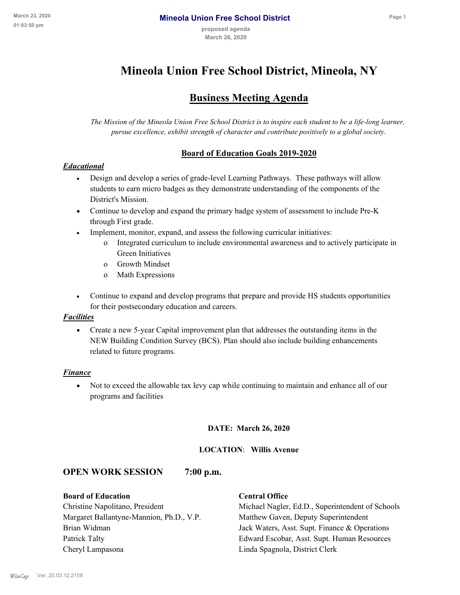# **Mineola Union Free School District, Mineola, NY**

# **Business Meeting Agenda**

*The Mission of the Mineola Union Free School District is to inspire each student to be a life-long learner, pursue excellence, exhibit strength of character and contribute positively to a global society.*

# **Board of Education Goals 2019-2020**

# *Educational*

- · Design and develop a series of grade-level Learning Pathways. These pathways will allow students to earn micro badges as they demonstrate understanding of the components of the District's Mission.
- Continue to develop and expand the primary badge system of assessment to include Pre-K through First grade.
- · Implement, monitor, expand, and assess the following curricular initiatives:
	- o Integrated curriculum to include environmental awareness and to actively participate in Green Initiatives
	- o Growth Mindset
	- o Math Expressions
- · Continue to expand and develop programs that prepare and provide HS students opportunities for their postsecondary education and careers.

#### *Facilities*

· Create a new 5-year Capital improvement plan that addresses the outstanding items in the NEW Building Condition Survey (BCS). Plan should also include building enhancements related to future programs.

#### *Finance*

· Not to exceed the allowable tax levy cap while continuing to maintain and enhance all of our programs and facilities

#### **DATE: March 26, 2020**

#### **LOCATION**: **Willis Avenue**

# **OPEN WORK SESSION 7:00 p.m.**

#### **Board of Education Central Office**

Margaret Ballantyne-Mannion, Ph.D., V.P. Matthew Gaven, Deputy Superintendent Cheryl Lampasona Linda Spagnola, District Clerk

Christine Napolitano, President Michael Nagler, Ed.D., Superintendent of Schools Brian Widman **Jack Waters, Asst. Supt. Finance & Operations** Patrick Talty Edward Escobar, Asst. Supt. Human Resources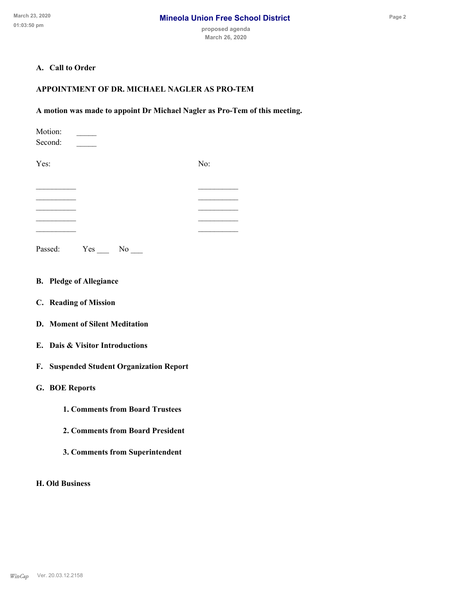# **A. Call to Order**

### **APPOINTMENT OF DR. MICHAEL NAGLER AS PRO-TEM**

#### **A motion was made to appoint Dr Michael Nagler as Pro-Tem of this meeting.**

| Motion:<br>Second: |     |    |     |  |
|--------------------|-----|----|-----|--|
| Yes:               |     |    | No: |  |
|                    |     |    |     |  |
|                    |     |    |     |  |
|                    |     |    |     |  |
| Passed:            | Yes | No |     |  |

- **B. Pledge of Allegiance**
- **C. Reading of Mission**
- **D. Moment of Silent Meditation**
- **E. Dais & Visitor Introductions**
- **F. Suspended Student Organization Report**
- **G. BOE Reports**
	- **1. Comments from Board Trustees**
	- **2. Comments from Board President**
	- **3. Comments from Superintendent**

**H. Old Business**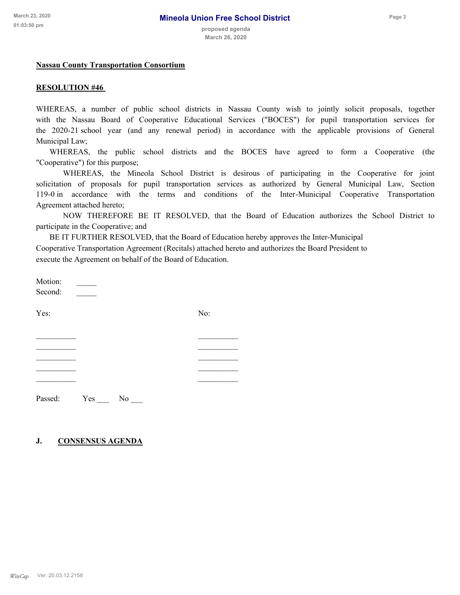#### **Nassau County Transportation Consortium**

#### **RESOLUTION #46**

WHEREAS, a number of public school districts in Nassau County wish to jointly solicit proposals, together with the Nassau Board of Cooperative Educational Services ("BOCES") for pupil transportation services for the 2020-21 school year (and any renewal period) in accordance with the applicable provisions of General Municipal Law;

WHEREAS, the public school districts and the BOCES have agreed to form a Cooperative (the "Cooperative") for this purpose;

WHEREAS, the Mineola School District is desirous of participating in the Cooperative for joint solicitation of proposals for pupil transportation services as authorized by General Municipal Law, Section 119-0 in accordance with the terms and conditions of the Inter-Municipal Cooperative Transportation Agreement attached hereto;

NOW THEREFORE BE IT RESOLVED, that the Board of Education authorizes the School District to participate in the Cooperative; and

BE IT FURTHER RESOLVED, that the Board of Education hereby approves the Inter-Municipal Cooperative Transportation Agreement (Recitals) attached hereto and authorizes the Board President to execute the Agreement on behalf of the Board of Education.

Motion: \_\_\_\_\_\_\_\_\_<br>Second:

Yes: No:

 $\frac{1}{2}$  , and the contribution of the contribution of  $\frac{1}{2}$  , and  $\frac{1}{2}$  , and  $\frac{1}{2}$ \_\_\_\_\_\_\_\_\_\_ \_\_\_\_\_\_\_\_\_\_

Passed: Yes No

#### **J. CONSENSUS AGENDA**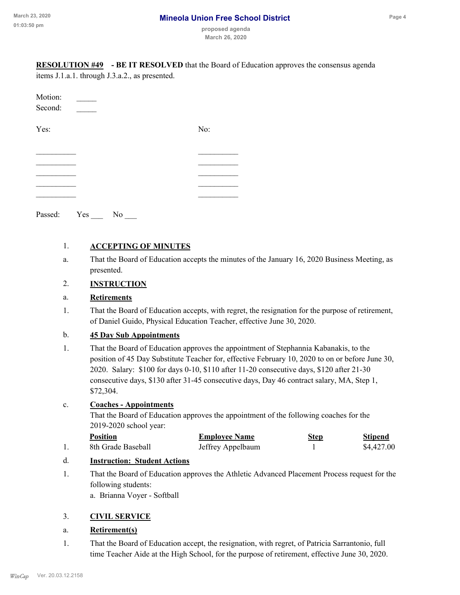| 23, 2020<br>50 pm     |                                                                                                                                                                                                                                                                                                                                                                                               | <b>Mineola Union Free School District</b>                                                    |             | Page 4                       |  |  |  |
|-----------------------|-----------------------------------------------------------------------------------------------------------------------------------------------------------------------------------------------------------------------------------------------------------------------------------------------------------------------------------------------------------------------------------------------|----------------------------------------------------------------------------------------------|-------------|------------------------------|--|--|--|
|                       |                                                                                                                                                                                                                                                                                                                                                                                               | proposed agenda<br>March 26, 2020                                                            |             |                              |  |  |  |
| <b>RESOLUTION #49</b> | items J.1.a.1. through J.3.a.2., as presented.                                                                                                                                                                                                                                                                                                                                                | - BE IT RESOLVED that the Board of Education approves the consensus agenda                   |             |                              |  |  |  |
|                       |                                                                                                                                                                                                                                                                                                                                                                                               |                                                                                              |             |                              |  |  |  |
| Motion:<br>Second:    |                                                                                                                                                                                                                                                                                                                                                                                               |                                                                                              |             |                              |  |  |  |
| Yes:                  |                                                                                                                                                                                                                                                                                                                                                                                               | No:                                                                                          |             |                              |  |  |  |
|                       |                                                                                                                                                                                                                                                                                                                                                                                               |                                                                                              |             |                              |  |  |  |
|                       |                                                                                                                                                                                                                                                                                                                                                                                               |                                                                                              |             |                              |  |  |  |
|                       |                                                                                                                                                                                                                                                                                                                                                                                               |                                                                                              |             |                              |  |  |  |
|                       | Passed: Yes No __                                                                                                                                                                                                                                                                                                                                                                             |                                                                                              |             |                              |  |  |  |
|                       |                                                                                                                                                                                                                                                                                                                                                                                               |                                                                                              |             |                              |  |  |  |
| 1.                    | <b>ACCEPTING OF MINUTES</b>                                                                                                                                                                                                                                                                                                                                                                   |                                                                                              |             |                              |  |  |  |
| a.                    | That the Board of Education accepts the minutes of the January 16, 2020 Business Meeting, as<br>presented.                                                                                                                                                                                                                                                                                    |                                                                                              |             |                              |  |  |  |
| 2.                    | <b>INSTRUCTION</b>                                                                                                                                                                                                                                                                                                                                                                            |                                                                                              |             |                              |  |  |  |
| a.                    | <b>Retirements</b>                                                                                                                                                                                                                                                                                                                                                                            |                                                                                              |             |                              |  |  |  |
| 1.                    | That the Board of Education accepts, with regret, the resignation for the purpose of retirement,<br>of Daniel Guido, Physical Education Teacher, effective June 30, 2020.                                                                                                                                                                                                                     |                                                                                              |             |                              |  |  |  |
| $\mathbf{b}$ .        | <b>45 Day Sub Appointments</b>                                                                                                                                                                                                                                                                                                                                                                |                                                                                              |             |                              |  |  |  |
| 1.                    | That the Board of Education approves the appointment of Stephannia Kabanakis, to the<br>position of 45 Day Substitute Teacher for, effective February 10, 2020 to on or before June 30,<br>2020. Salary: \$100 for days 0-10, \$110 after 11-20 consecutive days, \$120 after 21-30<br>consecutive days, \$130 after 31-45 consecutive days, Day 46 contract salary, MA, Step 1,<br>\$72,304. |                                                                                              |             |                              |  |  |  |
| $\mathbf{c}.$         | <b>Coaches - Appointments</b><br>2019-2020 school year:                                                                                                                                                                                                                                                                                                                                       | That the Board of Education approves the appointment of the following coaches for the        |             |                              |  |  |  |
| 1.                    | <b>Position</b><br>8th Grade Baseball                                                                                                                                                                                                                                                                                                                                                         | <b>Employee Name</b><br>Jeffrey Appelbaum                                                    | <b>Step</b> | <b>Stipend</b><br>\$4,427.00 |  |  |  |
| d.                    | <b>Instruction: Student Actions</b>                                                                                                                                                                                                                                                                                                                                                           |                                                                                              |             |                              |  |  |  |
| 1.                    | following students:<br>a. Brianna Voyer - Softball                                                                                                                                                                                                                                                                                                                                            | That the Board of Education approves the Athletic Advanced Placement Process request for the |             |                              |  |  |  |

# 3. **CIVIL SERVICE**

# a. **Retirement(s)**

That the Board of Education accept, the resignation, with regret, of Patricia Sarrantonio, full 1. time Teacher Aide at the High School, for the purpose of retirement, effective June 30, 2020.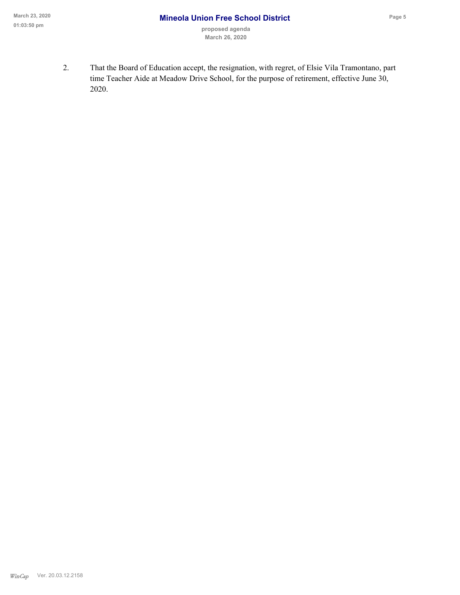That the Board of Education accept, the resignation, with regret, of Elsie Vila Tramontano, part 2. time Teacher Aide at Meadow Drive School, for the purpose of retirement, effective June 30, 2020.